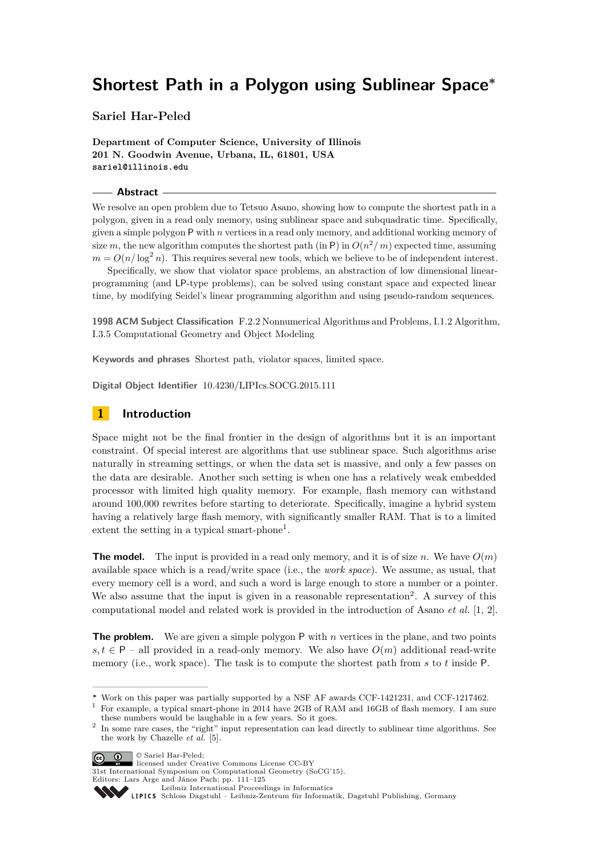**Sariel Har-Peled**

**Department of Computer Science, University of Illinois 201 N. Goodwin Avenue, Urbana, IL, 61801, USA sariel@illinois.edu**

#### **Abstract**

We resolve an open problem due to Tetsuo Asano, showing how to compute the shortest path in a polygon, given in a read only memory, using sublinear space and subquadratic time. Specifically, given a simple polygon P with *n* vertices in a read only memory, and additional working memory of size *m*, the new algorithm computes the shortest path (in P) in  $O(n^2/m)$  expected time, assuming  $m = O(n/\log^2 n)$ . This requires several new tools, which we believe to be of independent interest.

Specifically, we show that violator space problems, an abstraction of low dimensional linearprogramming (and LP-type problems), can be solved using constant space and expected linear time, by modifying Seidel's linear programming algorithm and using pseudo-random sequences.

**1998 ACM Subject Classification** F.2.2 Nonnumerical Algorithms and Problems, I.1.2 Algorithm, I.3.5 Computational Geometry and Object Modeling

**Keywords and phrases** Shortest path, violator spaces, limited space.

**Digital Object Identifier** [10.4230/LIPIcs.SOCG.2015.111](http://dx.doi.org/10.4230/LIPIcs.SOCG.2015.111)

# **1 Introduction**

Space might not be the final frontier in the design of algorithms but it is an important constraint. Of special interest are algorithms that use sublinear space. Such algorithms arise naturally in streaming settings, or when the data set is massive, and only a few passes on the data are desirable. Another such setting is when one has a relatively weak embedded processor with limited high quality memory. For example, flash memory can withstand around 100,000 rewrites before starting to deteriorate. Specifically, imagine a hybrid system having a relatively large flash memory, with significantly smaller RAM. That is to a limited extent the setting in a typical smart-phone<sup>[1](#page-0-0)</sup>.

**The model.** The input is provided in a read only memory, and it is of size *n*. We have  $O(m)$ available space which is a read/write space (i.e., the *work space*). We assume, as usual, that every memory cell is a word, and such a word is large enough to store a number or a pointer. We also assume that the input is given in a reasonable representation<sup>[2](#page-0-1)</sup>. A survey of this computational model and related work is provided in the introduction of Asano *et al.* [\[1,](#page-13-0) [2\]](#page-13-1).

**The problem.** We are given a simple polygon  $P$  with  $n$  vertices in the plane, and two points  $s, t \in P$  – all provided in a read-only memory. We also have  $O(m)$  additional read-write memory (i.e., work space). The task is to compute the shortest path from *s* to *t* inside P.

<span id="page-0-1"></span><sup>&</sup>lt;sup>2</sup> In some rare cases, the "right" input representation can lead directly to sublinear time algorithms. See the work by Chazelle *et al.* [\[5\]](#page-14-0).



<sup>©</sup> Sariel Har-Peled; licensed under Creative Commons License CC-BY

31st International Symposium on Computational Geometry (SoCG'15).

Work on this paper was partially supported by a NSF AF awards CCF-1421231, and CCF-1217462.

<span id="page-0-0"></span><sup>1</sup> For example, a typical smart-phone in 2014 have 2GB of RAM and 16GB of flash memory. I am sure these numbers would be laughable in a few years. So it goes.

Editors: Lars Arge and János Pach; pp. 111[–125](#page-14-1)

[Leibniz International Proceedings in Informatics](http://www.dagstuhl.de/lipics/)

[Schloss Dagstuhl – Leibniz-Zentrum für Informatik, Dagstuhl Publishing, Germany](http://www.dagstuhl.de)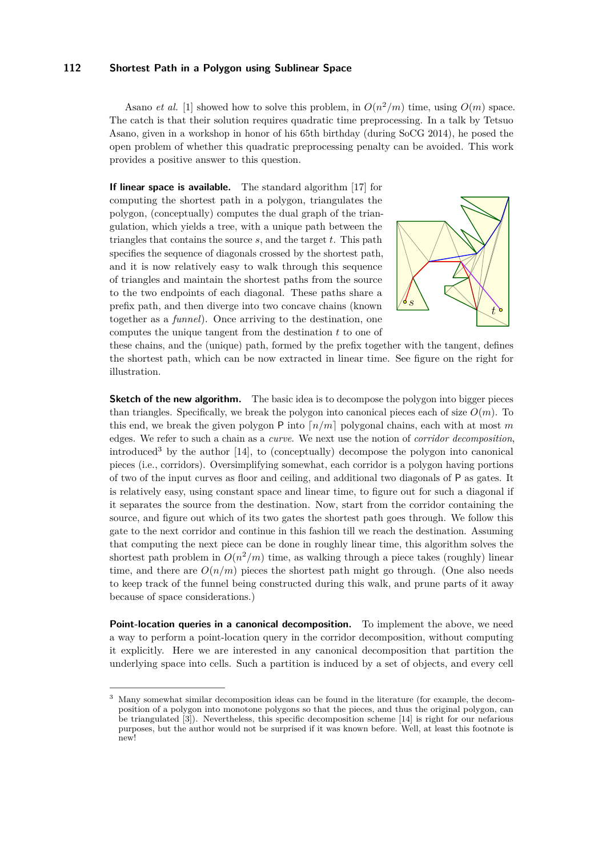Asano *et al.* [\[1\]](#page-13-0) showed how to solve this problem, in  $O(n^2/m)$  time, using  $O(m)$  space. The catch is that their solution requires quadratic time preprocessing. In a talk by Tetsuo Asano, given in a workshop in honor of his 65th birthday (during SoCG 2014), he posed the open problem of whether this quadratic preprocessing penalty can be avoided. This work provides a positive answer to this question.

**If linear space is available.** The standard algorithm [\[17\]](#page-14-2) for computing the shortest path in a polygon, triangulates the polygon, (conceptually) computes the dual graph of the triangulation, which yields a tree, with a unique path between the triangles that contains the source *s*, and the target *t*. This path specifies the sequence of diagonals crossed by the shortest path, and it is now relatively easy to walk through this sequence of triangles and maintain the shortest paths from the source to the two endpoints of each diagonal. These paths share a prefix path, and then diverge into two concave chains (known together as a *funnel*). Once arriving to the destination, one computes the unique tangent from the destination *t* to one of



these chains, and the (unique) path, formed by the prefix together with the tangent, defines the shortest path, which can be now extracted in linear time. See figure on the right for illustration.

**Sketch of the new algorithm.** The basic idea is to decompose the polygon into bigger pieces than triangles. Specifically, we break the polygon into canonical pieces each of size  $O(m)$ . To this end, we break the given polygon P into  $\lceil n/m \rceil$  polygonal chains, each with at most m edges. We refer to such a chain as a *curve*. We next use the notion of *corridor decomposition*, introduced<sup>[3](#page-1-0)</sup> by the author  $[14]$ , to (conceptually) decompose the polygon into canonical pieces (i.e., corridors). Oversimplifying somewhat, each corridor is a polygon having portions of two of the input curves as floor and ceiling, and additional two diagonals of P as gates. It is relatively easy, using constant space and linear time, to figure out for such a diagonal if it separates the source from the destination. Now, start from the corridor containing the source, and figure out which of its two gates the shortest path goes through. We follow this gate to the next corridor and continue in this fashion till we reach the destination. Assuming that computing the next piece can be done in roughly linear time, this algorithm solves the shortest path problem in  $O(n^2/m)$  time, as walking through a piece takes (roughly) linear time, and there are  $O(n/m)$  pieces the shortest path might go through. (One also needs to keep track of the funnel being constructed during this walk, and prune parts of it away because of space considerations.)

**Point-location queries in a canonical decomposition.** To implement the above, we need a way to perform a point-location query in the corridor decomposition, without computing it explicitly. Here we are interested in any canonical decomposition that partition the underlying space into cells. Such a partition is induced by a set of objects, and every cell

<span id="page-1-0"></span><sup>&</sup>lt;sup>3</sup> Many somewhat similar decomposition ideas can be found in the literature (for example, the decomposition of a polygon into monotone polygons so that the pieces, and thus the original polygon, can be triangulated [\[3\]](#page-14-4)). Nevertheless, this specific decomposition scheme [\[14\]](#page-14-3) is right for our nefarious purposes, but the author would not be surprised if it was known before. Well, at least this footnote is new!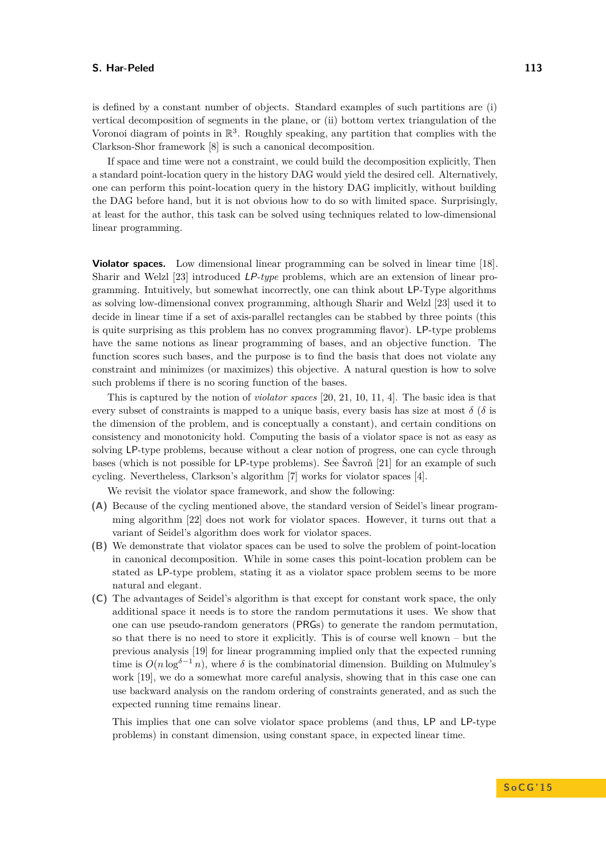is defined by a constant number of objects. Standard examples of such partitions are (i) vertical decomposition of segments in the plane, or (ii) bottom vertex triangulation of the Voronoi diagram of points in  $\mathbb{R}^3$ . Roughly speaking, any partition that complies with the Clarkson-Shor framework [\[8\]](#page-14-5) is such a canonical decomposition.

If space and time were not a constraint, we could build the decomposition explicitly, Then a standard point-location query in the history DAG would yield the desired cell. Alternatively, one can perform this point-location query in the history DAG implicitly, without building the DAG before hand, but it is not obvious how to do so with limited space. Surprisingly, at least for the author, this task can be solved using techniques related to low-dimensional linear programming.

**Violator spaces.** Low dimensional linear programming can be solved in linear time [\[18\]](#page-14-6). Sharir and Welzl [\[23\]](#page-14-7) introduced LP*-type* problems, which are an extension of linear programming. Intuitively, but somewhat incorrectly, one can think about LP-Type algorithms as solving low-dimensional convex programming, although Sharir and Welzl [\[23\]](#page-14-7) used it to decide in linear time if a set of axis-parallel rectangles can be stabbed by three points (this is quite surprising as this problem has no convex programming flavor). LP-type problems have the same notions as linear programming of bases, and an objective function. The function scores such bases, and the purpose is to find the basis that does not violate any constraint and minimizes (or maximizes) this objective. A natural question is how to solve such problems if there is no scoring function of the bases.

This is captured by the notion of *violator spaces* [\[20,](#page-14-8) [21,](#page-14-9) [10,](#page-14-10) [11,](#page-14-11) [4\]](#page-14-12). The basic idea is that every subset of constraints is mapped to a unique basis, every basis has size at most *δ* (*δ* is the dimension of the problem, and is conceptually a constant), and certain conditions on consistency and monotonicity hold. Computing the basis of a violator space is not as easy as solving LP-type problems, because without a clear notion of progress, one can cycle through bases (which is not possible for LP-type problems). See Šavroň [\[21\]](#page-14-9) for an example of such cycling. Nevertheless, Clarkson's algorithm [\[7\]](#page-14-13) works for violator spaces [\[4\]](#page-14-12).

We revisit the violator space framework, and show the following:

- **(A)** Because of the cycling mentioned above, the standard version of Seidel's linear programming algorithm [\[22\]](#page-14-14) does not work for violator spaces. However, it turns out that a variant of Seidel's algorithm does work for violator spaces.
- **(B)** We demonstrate that violator spaces can be used to solve the problem of point-location in canonical decomposition. While in some cases this point-location problem can be stated as LP-type problem, stating it as a violator space problem seems to be more natural and elegant.
- **(C)** The advantages of Seidel's algorithm is that except for constant work space, the only additional space it needs is to store the random permutations it uses. We show that one can use pseudo-random generators (PRGs) to generate the random permutation, so that there is no need to store it explicitly. This is of course well known – but the previous analysis [\[19\]](#page-14-15) for linear programming implied only that the expected running time is  $O(n \log^{\delta-1} n)$ , where  $\delta$  is the combinatorial dimension. Building on Mulmuley's work [\[19\]](#page-14-15), we do a somewhat more careful analysis, showing that in this case one can use backward analysis on the random ordering of constraints generated, and as such the expected running time remains linear.

This implies that one can solve violator space problems (and thus, LP and LP-type problems) in constant dimension, using constant space, in expected linear time.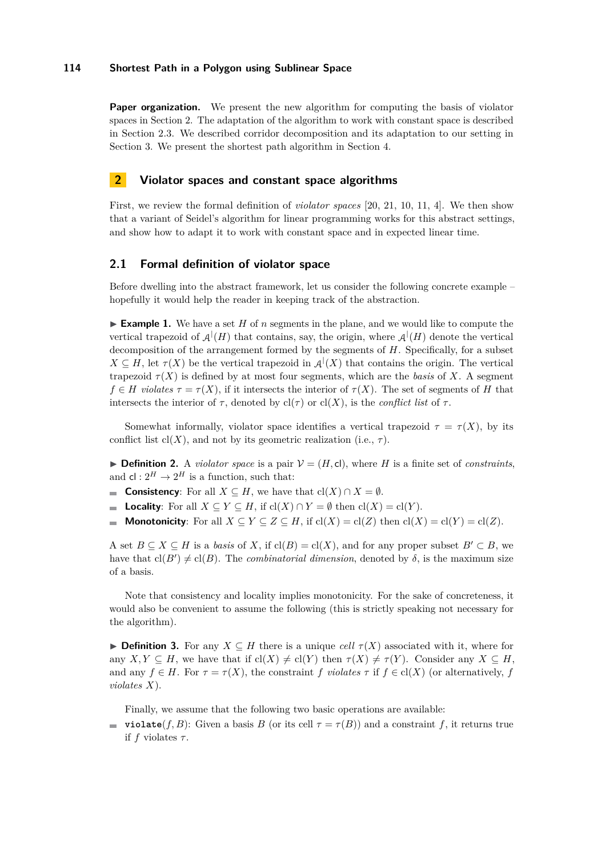**Paper organization.** We present the new algorithm for computing the basis of violator spaces in [Section 2.](#page-3-0) The adaptation of the algorithm to work with constant space is described in [Section 2.3.](#page-6-0) We described corridor decomposition and its adaptation to our setting in [Section 3.](#page-8-0) We present the shortest path algorithm in [Section 4.](#page-10-0)

## <span id="page-3-0"></span>**2 Violator spaces and constant space algorithms**

First, we review the formal definition of *violator spaces* [\[20,](#page-14-8) [21,](#page-14-9) [10,](#page-14-10) [11,](#page-14-11) [4\]](#page-14-12). We then show that a variant of Seidel's algorithm for linear programming works for this abstract settings, and show how to adapt it to work with constant space and in expected linear time.

### **2.1 Formal definition of violator space**

Before dwelling into the abstract framework, let us consider the following concrete example – hopefully it would help the reader in keeping track of the abstraction.

<span id="page-3-1"></span> $\triangleright$  **Example 1.** We have a set *H* of *n* segments in the plane, and we would like to compute the vertical trapezoid of  $A^{\dagger}(H)$  that contains, say, the origin, where  $A^{\dagger}(H)$  denote the vertical decomposition of the arrangement formed by the segments of *H*. Specifically, for a subset  $X \subseteq H$ , let  $\tau(X)$  be the vertical trapezoid in  $\mathcal{A}^{\vert}(X)$  that contains the origin. The vertical trapezoid  $\tau(X)$  is defined by at most four segments, which are the *basis* of X. A segment  $f \in H$  *violates*  $\tau = \tau(X)$ , if it intersects the interior of  $\tau(X)$ . The set of segments of *H* that intersects the interior of  $\tau$ , denoted by cl( $\tau$ ) or cl( $X$ ), is the *conflict list* of  $\tau$ .

Somewhat informally, violator space identifies a vertical trapezoid  $\tau = \tau(X)$ , by its conflict list cl(*X*), and not by its geometric realization (i.e.,  $\tau$ ).

<span id="page-3-2"></span> $\blacktriangleright$  **Definition 2.** A *violator space* is a pair  $\mathcal{V} = (H, \text{cl})$ , where *H* is a finite set of *constraints*, and  $\mathsf{cl}: 2^H \to 2^H$  is a function, such that:

- **Consistency**: For all *X*  $\subseteq$  *H*, we have that  $\text{cl}(X) \cap X = \emptyset$ . m.
- **Locality:** For all  $X \subseteq Y \subseteq H$ , if  $\text{cl}(X) \cap Y = \emptyset$  then  $\text{cl}(X) = \text{cl}(Y)$ .  $\blacksquare$

**Monotonicity**: For all  $X \subseteq Y \subseteq Z \subseteq H$ , if  $cl(X) = cl(Z)$  then  $cl(X) = cl(Y) = cl(Z)$ .

A set  $B \subseteq X \subseteq H$  is a *basis* of X, if  $cl(B) = cl(X)$ , and for any proper subset  $B' \subset B$ , we have that  $\text{cl}(B') \neq \text{cl}(B)$ . The *combinatorial dimension*, denoted by  $\delta$ , is the maximum size of a basis.

Note that consistency and locality implies monotonicity. For the sake of concreteness, it would also be convenient to assume the following (this is strictly speaking not necessary for the algorithm).

**► Definition 3.** For any  $X \subseteq H$  there is a unique *cell*  $\tau(X)$  associated with it, where for any  $X, Y \subseteq H$ , we have that if  $cl(X) \neq cl(Y)$  then  $\tau(X) \neq \tau(Y)$ . Consider any  $X \subseteq H$ , and any  $f \in H$ . For  $\tau = \tau(X)$ , the constraint *f* violates  $\tau$  if  $f \in cl(X)$  (or alternatively, *f violates X*).

Finally, we assume that the following two basic operations are available:

**violate**(*f, B*): Given a basis *B* (or its cell  $\tau = \tau(B)$ ) and a constraint *f*, it returns true if  $f$  violates  $\tau$ .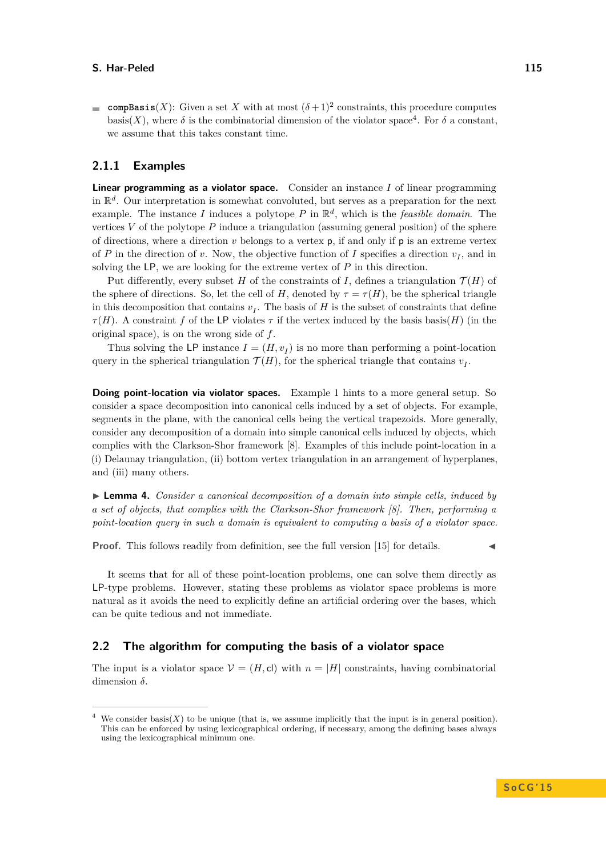compBasis(*X*): Given a set *X* with at most  $(\delta + 1)^2$  constraints, this procedure computes basis(X), where  $\delta$  is the combinatorial dimension of the violator space<sup>[4](#page-4-0)</sup>. For  $\delta$  a constant, we assume that this takes constant time.

# **2.1.1 Examples**

**Linear programming as a violator space.** Consider an instance *I* of linear programming in  $\mathbb{R}^d$ . Our interpretation is somewhat convoluted, but serves as a preparation for the next example. The instance *I* induces a polytope  $P$  in  $\mathbb{R}^d$ , which is the *feasible domain*. The vertices  $V$  of the polytope  $P$  induce a triangulation (assuming general position) of the sphere of directions, where a direction  $v$  belongs to a vertex  $p$ , if and only if  $p$  is an extreme vertex of *P* in the direction of *v*. Now, the objective function of *I* specifies a direction  $v<sub>I</sub>$ , and in solving the LP, we are looking for the extreme vertex of *P* in this direction.

Put differently, every subset *H* of the constraints of *I*, defines a triangulation  $\mathcal{T}(H)$  of the sphere of directions. So, let the cell of *H*, denoted by  $\tau = \tau(H)$ , be the spherical triangle in this decomposition that contains  $v_I$ . The basis of *H* is the subset of constraints that define  $\tau(H)$ . A constraint *f* of the LP violates  $\tau$  if the vertex induced by the basis basis(*H*) (in the original space), is on the wrong side of *f*.

Thus solving the LP instance  $I = (H, v_I)$  is no more than performing a point-location query in the spherical triangulation  $\mathcal{T}(H)$ , for the spherical triangle that contains  $v_I$ .

**Doing point-location via violator spaces.** [Example 1](#page-3-1) hints to a more general setup. So consider a space decomposition into canonical cells induced by a set of objects. For example, segments in the plane, with the canonical cells being the vertical trapezoids. More generally, consider any decomposition of a domain into simple canonical cells induced by objects, which complies with the Clarkson-Shor framework [\[8\]](#page-14-5). Examples of this include point-location in a (i) Delaunay triangulation, (ii) bottom vertex triangulation in an arrangement of hyperplanes, and (iii) many others.

I **Lemma 4.** *Consider a canonical decomposition of a domain into simple cells, induced by a set of objects, that complies with the Clarkson-Shor framework [\[8\]](#page-14-5). Then, performing a point-location query in such a domain is equivalent to computing a basis of a violator space.*

**Proof.** This follows readily from definition, see the full version [\[15\]](#page-14-16) for details.

It seems that for all of these point-location problems, one can solve them directly as LP-type problems. However, stating these problems as violator space problems is more natural as it avoids the need to explicitly define an artificial ordering over the bases, which can be quite tedious and not immediate.

# **2.2 The algorithm for computing the basis of a violator space**

The input is a violator space  $V = (H, cl)$  with  $n = |H|$  constraints, having combinatorial dimension *δ*.

<span id="page-4-0"></span>We consider basis( $X$ ) to be unique (that is, we assume implicitly that the input is in general position). This can be enforced by using lexicographical ordering, if necessary, among the defining bases always using the lexicographical minimum one.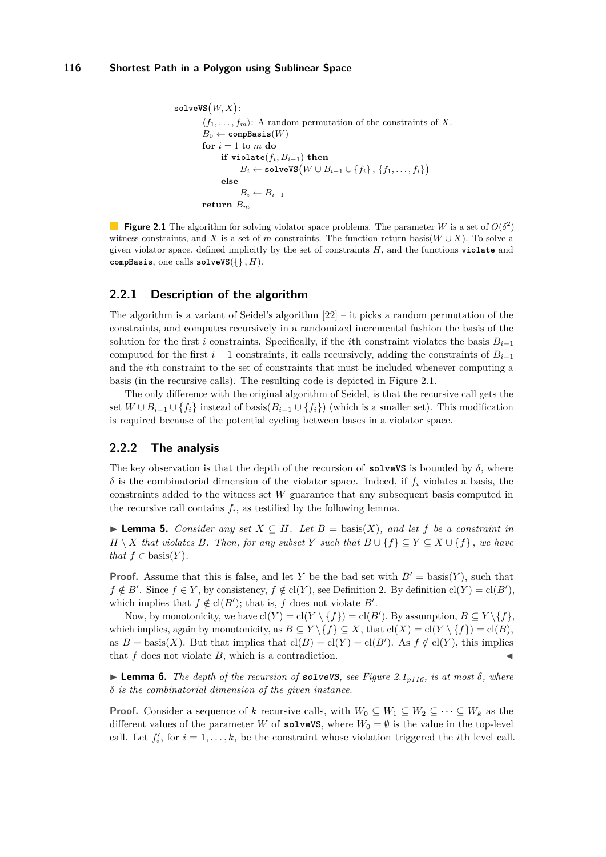```
\texttt{solveVS}\big(W,X\big):
\langle f_1, \ldots, f_m \rangle: A random permutation of the constraints of X.
B_0 \leftarrow \texttt{complexis}(W)for i = 1 to m do
      if \text{video}(f_i, B_{i-1}) then
              B_i \leftarrow \texttt{solveVS}\big(W \cup B_{i-1} \cup \{f_i\} \, , \, \{f_1, \ldots, f_i\}\big)else
              B_i \leftarrow B_{i-1}return Bm
```
**Figure 2.1** The algorithm for solving violator space problems. The parameter *W* is a set of  $O(\delta^2)$ witness constraints, and *X* is a set of *m* constraints. The function return basis( $W \cup X$ ). To solve a given violator space, defined implicitly by the set of constraints *H*, and the functions **violate** and **compBasis**, one calls **solveVS**({} *, H*).

# **2.2.1 Description of the algorithm**

The algorithm is a variant of Seidel's algorithm  $[22]$  – it picks a random permutation of the constraints, and computes recursively in a randomized incremental fashion the basis of the solution for the first *i* constraints. Specifically, if the *i*th constraint violates the basis  $B_{i-1}$ computed for the first  $i - 1$  constraints, it calls recursively, adding the constraints of  $B_{i-1}$ and the *i*th constraint to the set of constraints that must be included whenever computing a basis (in the recursive calls). The resulting code is depicted in [Figure 2.1.](#page-5-0)

The only difference with the original algorithm of Seidel, is that the recursive call gets the set  $W \cup B_{i-1} \cup \{f_i\}$  instead of basis $(B_{i-1} \cup \{f_i\})$  (which is a smaller set). This modification is required because of the potential cycling between bases in a violator space.

# **2.2.2 The analysis**

The key observation is that the depth of the recursion of **solveVS** is bounded by  $\delta$ , where *δ* is the combinatorial dimension of the violator space. Indeed, if *f<sup>i</sup>* violates a basis, the constraints added to the witness set *W* guarantee that any subsequent basis computed in the recursive call contains  $f_i$ , as testified by the following lemma.

<span id="page-5-1"></span>**► Lemma 5.** *Consider any set*  $X \subseteq H$ *. Let*  $B = \text{basis}(X)$ *, and let f be a constraint in H*  $\setminus$  *X that violates B. Then, for any subset Y such that*  $B \cup \{f\} \subseteq Y \subseteq X \cup \{f\}$ , *we have that*  $f \in basis(Y)$ *.* 

**Proof.** Assume that this is false, and let *Y* be the bad set with  $B' = \text{basis}(Y)$ , such that  $f \notin B'$ . Since  $f \in Y$ , by consistency,  $f \notin cl(Y)$ , see [Definition 2.](#page-3-2) By definition  $cl(Y) = cl(B')$ , which implies that  $f \notin cl(B')$ ; that is,  $f$  does not violate  $B'$ .

Now, by monotonicity, we have  $\text{cl}(Y) = \text{cl}(Y \setminus \{f\}) = \text{cl}(B')$ . By assumption,  $B \subseteq Y \setminus \{f\}$ , which implies, again by monotonicity, as  $B \subseteq Y \setminus \{f\} \subseteq X$ , that  $\text{cl}(X) = \text{cl}(Y \setminus \{f\}) = \text{cl}(B)$ , as  $B = \text{basis}(X)$ . But that implies that  $cl(B) = cl(Y) = cl(B')$ . As  $f \notin cl(Y)$ , this implies that  $f$  does not violate  $B$ , which is a contradiction.

**Example 5.** *The depth of the recursion of solveVS, see [Figure 2.1](#page-5-0)* $_{p116}$  $_{p116}$  $_{p116}$ *, is at most*  $\delta$ *, where δ is the combinatorial dimension of the given instance.*

**Proof.** Consider a sequence of *k* recursive calls, with  $W_0 \subseteq W_1 \subseteq W_2 \subseteq \cdots \subseteq W_k$  as the different values of the parameter *W* of **solveVS**, where  $W_0 = \emptyset$  is the value in the top-level call. Let  $f'_{i}$ , for  $i = 1, ..., k$ , be the constraint whose violation triggered the *i*th level call.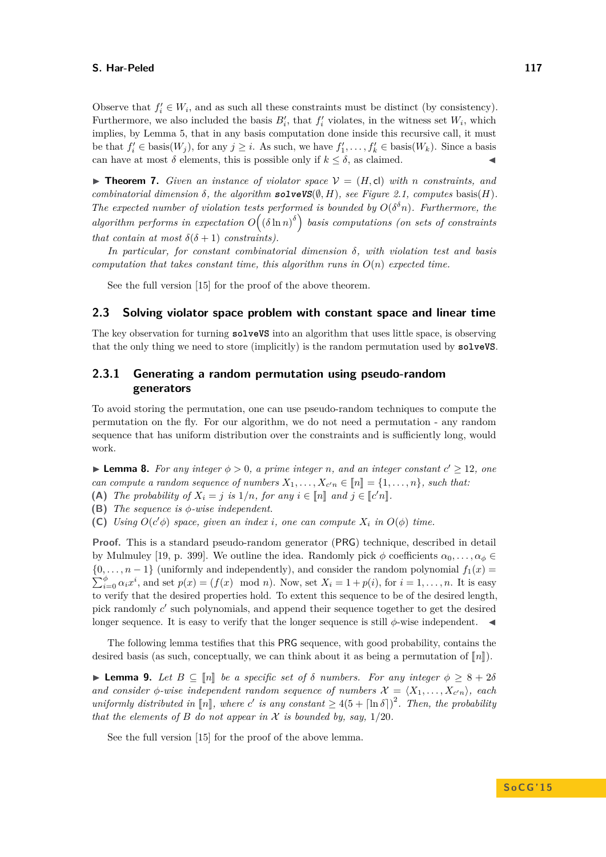Observe that  $f_i' \in W_i$ , and as such all these constraints must be distinct (by consistency). Furthermore, we also included the basis  $B_i'$ , that  $f_i'$  violates, in the witness set  $W_i$ , which implies, by [Lemma 5,](#page-5-1) that in any basis computation done inside this recursive call, it must be that  $f'_i \in \text{basis}(W_j)$ , for any  $j \geq i$ . As such, we have  $f'_1, \ldots, f'_k \in \text{basis}(W_k)$ . Since a basis can have at most  $\delta$  elements, this is possible only if  $k \leq \delta$ , as claimed.

<span id="page-6-1"></span>**Findmergeright T.** *Given an instance of violator space*  $V = (H, cl)$  *with n constraints, and combinatorial dimension*  $\delta$ *, the algorithm* **solveVS**( $\emptyset$ *, H*)*, see [Figure 2.1,](#page-5-0) computes* basis(*H*)*. The expected number of violation tests performed is bounded by*  $O(\delta^{\delta} n)$ *. Furthermore, the algorithm performs in expectation*  $O((\delta \ln n)^{\delta})$  basis computations (on sets of constraints *that contain at most*  $\delta(\delta + 1)$  *constraints*).

*In particular, for constant combinatorial dimension δ, with violation test and basis computation that takes constant time, this algorithm runs in O*(*n*) *expected time.*

See the full version [\[15\]](#page-14-16) for the proof of the above theorem.

# <span id="page-6-0"></span>**2.3 Solving violator space problem with constant space and linear time**

The key observation for turning **solveVS** into an algorithm that uses little space, is observing that the only thing we need to store (implicitly) is the random permutation used by **solveVS**.

# **2.3.1 Generating a random permutation using pseudo-random generators**

To avoid storing the permutation, one can use pseudo-random techniques to compute the permutation on the fly. For our algorithm, we do not need a permutation - any random sequence that has uniform distribution over the constraints and is sufficiently long, would work.

**Lemma 8.** For any integer  $\phi > 0$ , a prime integer *n*, and an integer constant  $c' \geq 12$ , one *can compute a random sequence of numbers*  $X_1, \ldots, X_{c'n} \in [n] = \{1, \ldots, n\}$ *, such that:*<br>(A) The probability of  $X = \{id | n \text{ for any } i \in \mathbb{N}\}$  and  $i \in \mathbb{N}$ 

**(A)** *The probability of*  $X_i = j$  *is*  $1/n$ *, for any*  $i \in [n]$  *and*  $j \in [c'n]$ *.* (B) *The express is a degree in degree in* 

**(B)** *The sequence is φ-wise independent.*

**(C)** *Using*  $O(c' \phi)$  *space, given an index i, one can compute*  $X_i$  *in*  $O(\phi)$  *time.* 

**Proof.** This is a standard pseudo-random generator (PRG) technique, described in detail by Mulmuley [\[19,](#page-14-15) p. 399]. We outline the idea. Randomly pick  $\phi$  coefficients  $\alpha_0, \ldots, \alpha_{\phi} \in$  $\{0, \ldots, n-1\}$  (uniformly and independently), and consider the random polynomial  $f_1(x)$  $\sum_{i=0}^{p} \alpha_i x^i$ , and set  $p(x) = (f(x) \mod n)$ . Now, set  $X_i = 1 + p(i)$ , for  $i = 1, \ldots, n$ . It is easy to verify that the desired properties hold. To extent this sequence to be of the desired length, pick randomly  $c'$  such polynomials, and append their sequence together to get the desired longer sequence. It is easy to verify that the longer sequence is still  $\phi$ -wise independent.  $\blacktriangleleft$ 

The following lemma testifies that this PRG sequence, with good probability, contains the desired basis (as such, conceptually, we can think about it as being a permutation of  $\llbracket n \rrbracket$ ).

<span id="page-6-2"></span>**► Lemma 9.** Let  $B \subseteq [n]$  be a specific set of  $\delta$  numbers. For any integer  $\phi \geq 8 + 2\delta$ *and consider*  $\phi$ -wise independent random sequence of numbers  $\mathcal{X} = \langle X_1, \ldots, X_{c'n} \rangle$ , each *uniformly distributed in* [*n*], where *c*' *is any constant*  $\geq 4(5 + \lfloor \ln \delta \rfloor)^2$ . Then, the probability *that the elements of B do not appear in*  $X$  *is bounded by, say,*  $1/20$ *.* 

See the full version [\[15\]](#page-14-16) for the proof of the above lemma.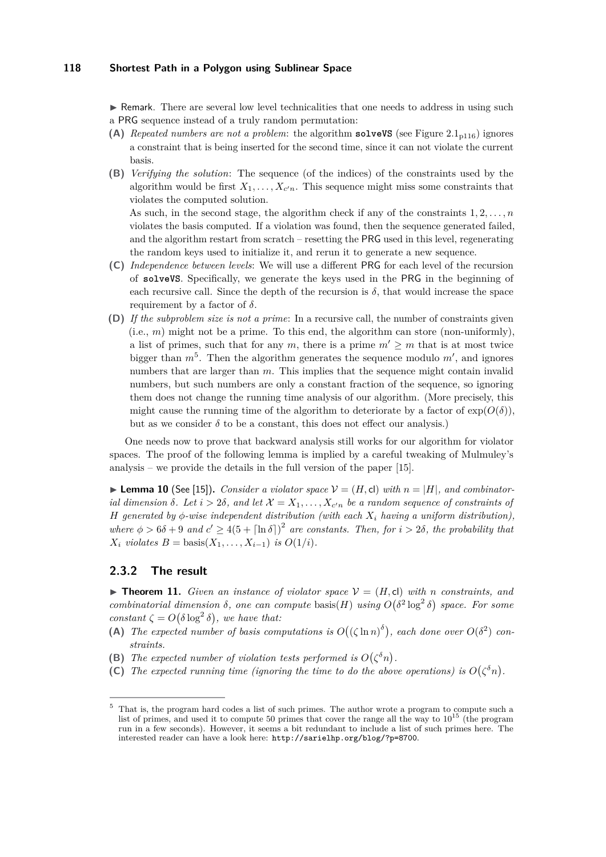$\triangleright$  Remark. There are several low level technicalities that one needs to address in using such a PRG sequence instead of a truly random permutation:

- **(A)** *Repeated numbers are not a problem:* the algorithm **solveVS** (see Figure  $2.1_{p116}$  $2.1_{p116}$  $2.1_{p116}$ ) ignores a constraint that is being inserted for the second time, since it can not violate the current basis.
- **(B)** *Verifying the solution*: The sequence (of the indices) of the constraints used by the algorithm would be first  $X_1, \ldots, X_{c'n}$ . This sequence might miss some constraints that violates the computed solution.

As such, in the second stage, the algorithm check if any of the constraints 1*,* 2*, . . . , n* violates the basis computed. If a violation was found, then the sequence generated failed, and the algorithm restart from scratch – resetting the PRG used in this level, regenerating the random keys used to initialize it, and rerun it to generate a new sequence.

- **(C)** *Independence between levels*: We will use a different PRG for each level of the recursion of **solveVS**. Specifically, we generate the keys used in the PRG in the beginning of each recursive call. Since the depth of the recursion is  $\delta$ , that would increase the space requirement by a factor of *δ*.
- **(D)** *If the subproblem size is not a prime*: In a recursive call, the number of constraints given  $(i.e., m)$  might not be a prime. To this end, the algorithm can store (non-uniformly), a list of primes, such that for any  $m$ , there is a prime  $m' \geq m$  that is at most twice bigger than  $m^5$  $m^5$ . Then the algorithm generates the sequence modulo  $m'$ , and ignores numbers that are larger than *m*. This implies that the sequence might contain invalid numbers, but such numbers are only a constant fraction of the sequence, so ignoring them does not change the running time analysis of our algorithm. (More precisely, this might cause the running time of the algorithm to deteriorate by a factor of  $exp(O(\delta))$ , but as we consider  $\delta$  to be a constant, this does not effect our analysis.)

One needs now to prove that backward analysis still works for our algorithm for violator spaces. The proof of the following lemma is implied by a careful tweaking of Mulmuley's analysis – we provide the details in the full version of the paper [\[15\]](#page-14-16).

<span id="page-7-1"></span>**Example 10** (See [\[15\]](#page-14-16)). *Consider a violator space*  $\mathcal{V} = (H, \text{cl})$  *with*  $n = |H|$ *, and combinatorial dimension*  $\delta$ *. Let*  $i > 2\delta$ *, and let*  $\mathcal{X} = X_1, \ldots, X_{c'n}$  *be a random sequence of constraints of H generated by φ-wise independent distribution (with each X<sup>i</sup> having a uniform distribution),* where  $\phi > 6\delta + 9$  and  $c' \geq 4(5 + \lceil \ln \delta \rceil)^2$  are constants. Then, for  $i > 2\delta$ , the probability that  $X_i$  *violates*  $B = \text{basis}(X_1, \ldots, X_{i-1})$  *is*  $O(1/i)$ *.* 

# **2.3.2 The result**

**Findmer 11.** *Given an instance of violator space*  $V = (H, \text{cl})$  *with n constraints, and combinatorial dimension*  $\delta$ *, one can compute* basis(*H*) *using*  $O(\delta^2 \log^2 \delta)$  *space. For some constant*  $\zeta = O(\delta \log^2 \delta)$ , we have that:

- **(A)** *The expected number of basis computations is*  $O((\zeta \ln n)^{\delta})$ , each done over  $O(\delta^2)$  con*straints.*
- **(B)** *The expected number of violation tests performed is*  $O(\zeta^{\delta} n)$ .
- **(C)** The expected running time (ignoring the time to do the above operations) is  $O(\zeta^{\delta} n)$ .

<span id="page-7-0"></span><sup>5</sup> That is, the program hard codes a list of such primes. The author wrote a program to compute such a list of primes, and used it to compute 50 primes that cover the range all the way to 10<sup>15</sup> (the program run in a few seconds). However, it seems a bit redundant to include a list of such primes here. The interested reader can have a look here: <http://sarielhp.org/blog/?p=8700>.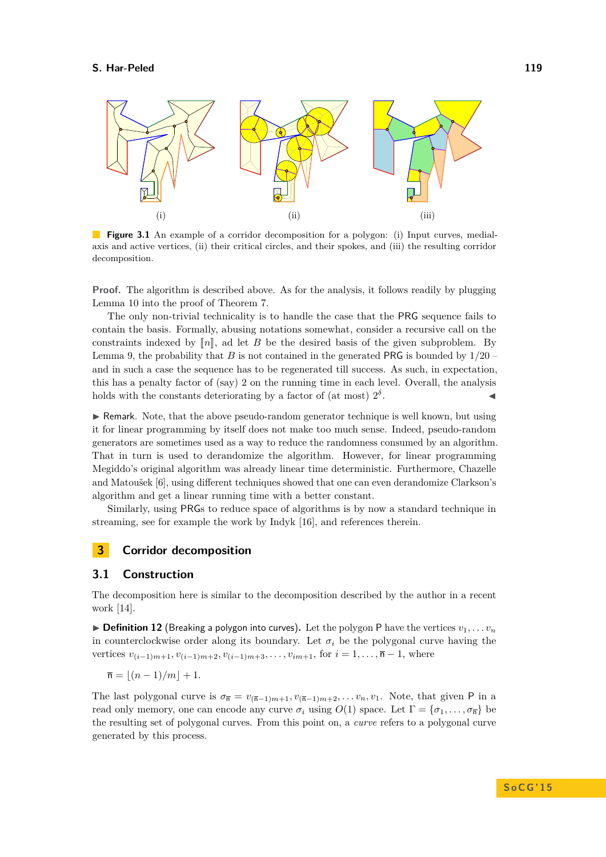<span id="page-8-1"></span>

**Figure 3.1** An example of a corridor decomposition for a polygon: (i) Input curves, medialaxis and active vertices, (ii) their critical circles, and their spokes, and (iii) the resulting corridor decomposition.

**Proof.** The algorithm is described above. As for the analysis, it follows readily by plugging [Lemma 10](#page-7-1) into the proof of [Theorem 7.](#page-6-1)

The only non-trivial technicality is to handle the case that the PRG sequence fails to contain the basis. Formally, abusing notations somewhat, consider a recursive call on the constraints indexed by  $[n]$ , ad let *B* be the desired basis of the given subproblem. By [Lemma 9,](#page-6-2) the probability that *B* is not contained in the generated PRG is bounded by 1*/*20 – and in such a case the sequence has to be regenerated till success. As such, in expectation, this has a penalty factor of (say) 2 on the running time in each level. Overall, the analysis holds with the constants deteriorating by a factor of (at most) 2 *δ* . The state  $\mathcal{A}$ 

 $\triangleright$  Remark. Note, that the above pseudo-random generator technique is well known, but using it for linear programming by itself does not make too much sense. Indeed, pseudo-random generators are sometimes used as a way to reduce the randomness consumed by an algorithm. That in turn is used to derandomize the algorithm. However, for linear programming Megiddo's original algorithm was already linear time deterministic. Furthermore, Chazelle and Matoušek [\[6\]](#page-14-17), using different techniques showed that one can even derandomize Clarkson's algorithm and get a linear running time with a better constant.

Similarly, using PRGs to reduce space of algorithms is by now a standard technique in streaming, see for example the work by Indyk [\[16\]](#page-14-18), and references therein.

# <span id="page-8-0"></span>**3 Corridor decomposition**

# **3.1 Construction**

The decomposition here is similar to the decomposition described by the author in a recent work [\[14\]](#page-14-3).

<span id="page-8-2"></span> $\triangleright$  **Definition 12** (Breaking a polygon into curves). Let the polygon P have the vertices  $v_1, \ldots, v_n$ in counterclockwise order along its boundary. Let  $\sigma_i$  be the polygonal curve having the vertices  $v_{(i-1)m+1}, v_{(i-1)m+2}, v_{(i-1)m+3}, \ldots, v_{im+1}$ , for  $i = 1, \ldots, \bar{n} - 1$ , where

$$
\overline{\mathsf{n}} = \lfloor (n-1)/m \rfloor + 1.
$$

The last polygonal curve is  $\sigma_{\overline{n}} = v_{(\overline{n}-1)m+1}, v_{(\overline{n}-1)m+2}, \ldots v_n, v_1$ . Note, that given P in a read only memory, one can encode any curve  $\sigma_i$  using  $O(1)$  space. Let  $\Gamma = {\sigma_1, \ldots, \sigma_{\overline{n}}}$  be the resulting set of polygonal curves. From this point on, a *curve* refers to a polygonal curve generated by this process.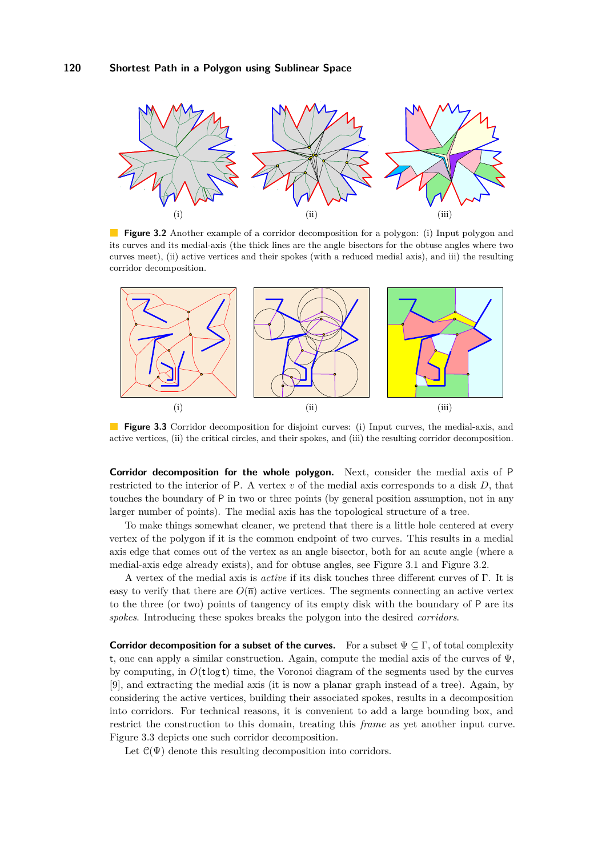<span id="page-9-0"></span>

**Figure 3.2** Another example of a corridor decomposition for a polygon: (i) Input polygon and its curves and its medial-axis (the thick lines are the angle bisectors for the obtuse angles where two curves meet), (ii) active vertices and their spokes (with a reduced medial axis), and iii) the resulting corridor decomposition.

<span id="page-9-1"></span>

**Figure 3.3** Corridor decomposition for disjoint curves: (i) Input curves, the medial-axis, and active vertices, (ii) the critical circles, and their spokes, and (iii) the resulting corridor decomposition.

**Corridor decomposition for the whole polygon.** Next, consider the medial axis of P restricted to the interior of P. A vertex *v* of the medial axis corresponds to a disk *D*, that touches the boundary of P in two or three points (by general position assumption, not in any larger number of points). The medial axis has the topological structure of a tree.

To make things somewhat cleaner, we pretend that there is a little hole centered at every vertex of the polygon if it is the common endpoint of two curves. This results in a medial axis edge that comes out of the vertex as an angle bisector, both for an acute angle (where a medial-axis edge already exists), and for obtuse angles, see [Figure 3.1](#page-8-1) and [Figure 3.2.](#page-9-0)

A vertex of the medial axis is *active* if its disk touches three different curves of Γ. It is easy to verify that there are  $O(\overline{n})$  active vertices. The segments connecting an active vertex to the three (or two) points of tangency of its empty disk with the boundary of P are its *spokes*. Introducing these spokes breaks the polygon into the desired *corridors*.

**Corridor decomposition for a subset of the curves.** For a subset  $\Psi \subseteq \Gamma$ , of total complexity t, one can apply a similar construction. Again, compute the medial axis of the curves of  $\Psi$ , by computing, in  $O(t \log t)$  time, the Voronoi diagram of the segments used by the curves [\[9\]](#page-14-19), and extracting the medial axis (it is now a planar graph instead of a tree). Again, by considering the active vertices, building their associated spokes, results in a decomposition into corridors. For technical reasons, it is convenient to add a large bounding box, and restrict the construction to this domain, treating this *frame* as yet another input curve. [Figure 3.3](#page-9-1) depicts one such corridor decomposition.

Let  $\mathcal{C}(\Psi)$  denote this resulting decomposition into corridors.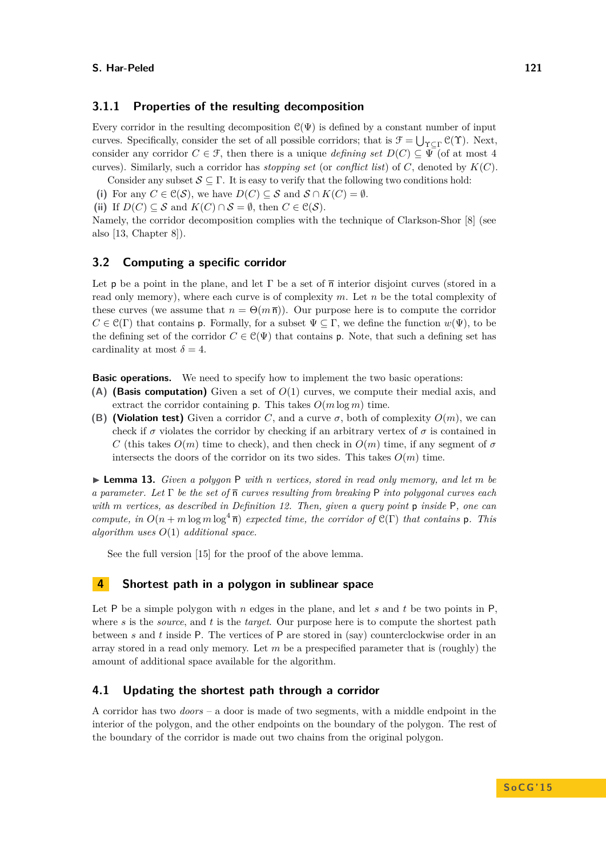# **3.1.1 Properties of the resulting decomposition**

Every corridor in the resulting decomposition  $\mathcal{C}(\Psi)$  is defined by a constant number of input curves. Specifically, consider the set of all possible corridors; that is  $\mathcal{F} = \bigcup_{\Upsilon \subseteq \Gamma} \mathcal{C}(\Upsilon)$ . Next, consider any corridor  $C \in \mathcal{F}$ , then there is a unique *defining set*  $D(C) \subseteq \Psi$  (of at most 4 curves). Similarly, such a corridor has *stopping set* (or *conflict list*) of *C*, denoted by *K*(*C*).

Consider any subset  $S \subseteq \Gamma$ . It is easy to verify that the following two conditions hold:

(i) For any  $C \in \mathcal{C}(\mathcal{S})$ , we have  $D(C) \subseteq \mathcal{S}$  and  $\mathcal{S} \cap K(C) = \emptyset$ .

(ii) If  $D(C) \subset S$  and  $K(C) \cap S = \emptyset$ , then  $C \in \mathcal{C}(S)$ .

Namely, the corridor decomposition complies with the technique of Clarkson-Shor [\[8\]](#page-14-5) (see also [\[13,](#page-14-20) Chapter 8]).

# **3.2 Computing a specific corridor**

Let p be a point in the plane, and let  $\Gamma$  be a set of  $\bar{n}$  interior disjoint curves (stored in a read only memory), where each curve is of complexity *m*. Let *n* be the total complexity of these curves (we assume that  $n = \Theta(m\bar{n})$ ). Our purpose here is to compute the corridor  $C \in \mathcal{C}(\Gamma)$  that contains **p**. Formally, for a subset  $\Psi \subseteq \Gamma$ , we define the function  $w(\Psi)$ , to be the defining set of the corridor  $C \in \mathcal{C}(\Psi)$  that contains **p**. Note, that such a defining set has cardinality at most  $\delta = 4$ .

**Basic operations.** We need to specify how to implement the two basic operations:

- **(A) (Basis computation)** Given a set of *O*(1) curves, we compute their medial axis, and extract the corridor containing  $p$ . This takes  $O(m \log m)$  time.
- **(B) (Violation test)** Given a corridor *C*, and a curve  $\sigma$ , both of complexity  $O(m)$ , we can check if  $\sigma$  violates the corridor by checking if an arbitrary vertex of  $\sigma$  is contained in *C* (this takes  $O(m)$  time to check), and then check in  $O(m)$  time, if any segment of  $\sigma$ intersects the doors of the corridor on its two sides. This takes  $O(m)$  time.

<span id="page-10-1"></span>I **Lemma 13.** *Given a polygon* P *with n vertices, stored in read only memory, and let m be a parameter. Let* Γ *be the set of* n *curves resulting from breaking* P *into polygonal curves each with m vertices, as described in [Definition 12.](#page-8-2) Then, given a query point* p *inside* P*, one can compute, in*  $O(n+m \log m \log^4 \overline{n})$  *expected time, the corridor of*  $C(\Gamma)$  *that contains* **p**. This *algorithm uses O*(1) *additional space.*

See the full version [\[15\]](#page-14-16) for the proof of the above lemma.

# <span id="page-10-0"></span>**4 Shortest path in a polygon in sublinear space**

Let P be a simple polygon with *n* edges in the plane, and let *s* and *t* be two points in P, where *s* is the *source*, and *t* is the *target*. Our purpose here is to compute the shortest path between *s* and *t* inside P. The vertices of P are stored in (say) counterclockwise order in an array stored in a read only memory. Let *m* be a prespecified parameter that is (roughly) the amount of additional space available for the algorithm.

## **4.1 Updating the shortest path through a corridor**

A corridor has two *doors* – a door is made of two segments, with a middle endpoint in the interior of the polygon, and the other endpoints on the boundary of the polygon. The rest of the boundary of the corridor is made out two chains from the original polygon.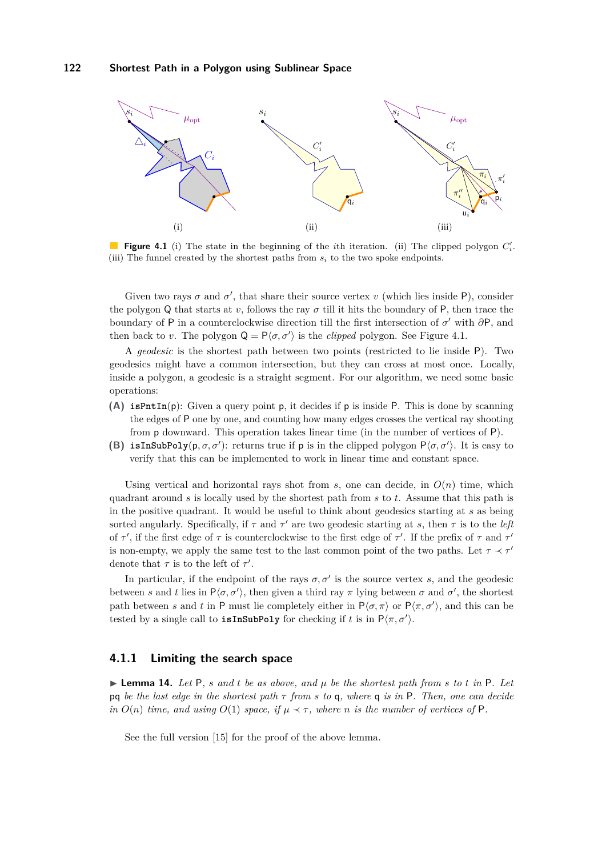<span id="page-11-0"></span>

**Figure 4.1** (i) The state in the beginning of the *i*th iteration. (ii) The clipped polygon  $C_i'$ . (iii) The funnel created by the shortest paths from  $s_i$  to the two spoke endpoints.

Given two rays  $\sigma$  and  $\sigma'$ , that share their source vertex  $v$  (which lies inside P), consider the polygon Q that starts at *v*, follows the ray  $\sigma$  till it hits the boundary of P, then trace the boundary of P in a counterclockwise direction till the first intersection of  $\sigma'$  with  $\partial P$ , and then back to *v*. The polygon  $Q = P\langle \sigma, \sigma' \rangle$  is the *clipped* polygon. See [Figure 4.1.](#page-11-0)

A *geodesic* is the shortest path between two points (restricted to lie inside P). Two geodesics might have a common intersection, but they can cross at most once. Locally, inside a polygon, a geodesic is a straight segment. For our algorithm, we need some basic operations:

- **(A) isPntIn**(p): Given a query point p, it decides if p is inside P. This is done by scanning the edges of P one by one, and counting how many edges crosses the vertical ray shooting from p downward. This operation takes linear time (in the number of vertices of P).
- **(B) isInSubPoly**( $p, \sigma, \sigma'$ ): returns true if  $p$  is in the clipped polygon  $P\langle \sigma, \sigma' \rangle$ . It is easy to verify that this can be implemented to work in linear time and constant space.

Using vertical and horizontal rays shot from  $s$ , one can decide, in  $O(n)$  time, which quadrant around *s* is locally used by the shortest path from *s* to *t*. Assume that this path is in the positive quadrant. It would be useful to think about geodesics starting at *s* as being sorted angularly. Specifically, if  $\tau$  and  $\tau'$  are two geodesic starting at *s*, then  $\tau$  is to the *left* of  $\tau'$ , if the first edge of  $\tau$  is counterclockwise to the first edge of  $\tau'$ . If the prefix of  $\tau$  and  $\tau'$ is non-empty, we apply the same test to the last common point of the two paths. Let  $\tau \prec \tau'$ denote that  $\tau$  is to the left of  $\tau'$ .

In particular, if the endpoint of the rays  $\sigma$ ,  $\sigma'$  is the source vertex *s*, and the geodesic between *s* and *t* lies in  $P(\sigma, \sigma')$ , then given a third ray  $\pi$  lying between  $\sigma$  and  $\sigma'$ , the shortest path between *s* and *t* in P must lie completely either in  $P\langle \sigma, \pi \rangle$  or  $P\langle \pi, \sigma' \rangle$ , and this can be tested by a single call to **isInSubPoly** for checking if *t* is in  $P(\pi, \sigma')$ .

### **4.1.1 Limiting the search space**

<span id="page-11-1"></span> $\blacktriangleright$  **Lemma 14.** Let P, *s* and *t* be as above, and  $\mu$  be the shortest path from *s* to *t* in P. Let pq *be the last edge in the shortest path τ from s to* q*, where* q *is in* P*. Then, one can decide in*  $O(n)$  *time, and using*  $O(1)$  *space, if*  $\mu \prec \tau$ *, where n is the number of vertices of* P.

See the full version [\[15\]](#page-14-16) for the proof of the above lemma.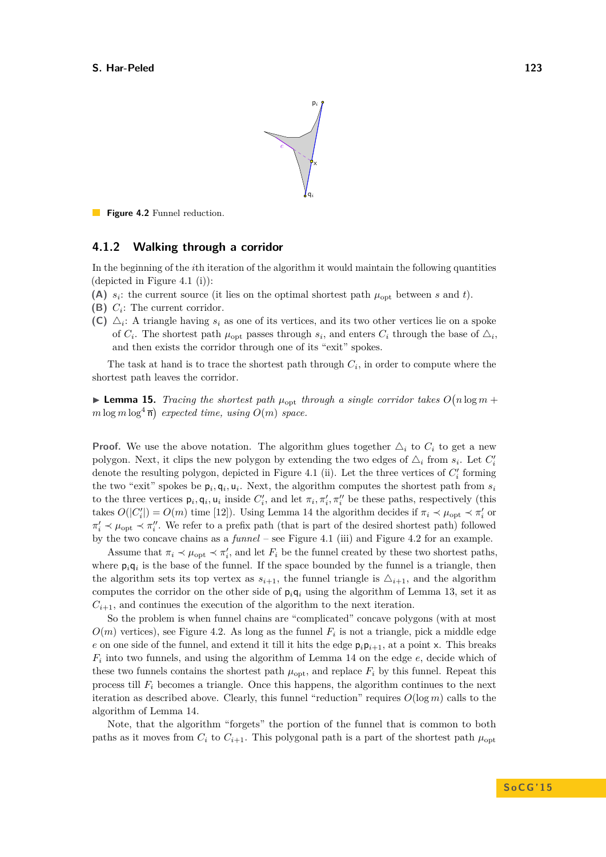

<span id="page-12-0"></span>**Figure 4.2** Funnel reduction.

### **4.1.2 Walking through a corridor**

In the beginning of the *i*th iteration of the algorithm it would maintain the following quantities (depicted in [Figure 4.1](#page-11-0) (i)):

- **(A)**  $s_i$ : the current source (it lies on the optimal shortest path  $\mu_{opt}$  between *s* and *t*).
- **(B)**  $C_i$ : The current corridor.
- **(C)**  $\Delta_i$ : A triangle having  $s_i$  as one of its vertices, and its two other vertices lie on a spoke of  $C_i$ . The shortest path  $\mu_{\text{opt}}$  passes through  $s_i$ , and enters  $C_i$  through the base of  $\Delta_i$ , and then exists the corridor through one of its "exit" spokes.

The task at hand is to trace the shortest path through  $C_i$ , in order to compute where the shortest path leaves the corridor.

<span id="page-12-1"></span>**Example 15.** *Tracing the shortest path*  $\mu_{opt}$  *through a single corridor takes*  $O(n \log m + 1)$  $m \log m \log^4 \overline{n}$  *expected time, using*  $O(m)$  *space.* 

**Proof.** We use the above notation. The algorithm glues together  $\Delta_i$  to  $C_i$  to get a new polygon. Next, it clips the new polygon by extending the two edges of  $\Delta_i$  from  $s_i$ . Let  $C_i'$ denote the resulting polygon, depicted in [Figure 4.1](#page-11-0) (ii). Let the three vertices of  $C_i'$  forming the two "exit" spokes be  $p_i, q_i, u_i$ . Next, the algorithm computes the shortest path from  $s_i$ to the three vertices  $p_i, q_i, u_i$  inside  $C'_i$ , and let  $\pi_i, \pi'_i, \pi''_i$  be these paths, respectively (this takes  $O(|C_i'|) = O(m)$  time [\[12\]](#page-14-21)). Using [Lemma 14](#page-11-1) the algorithm decides if  $\pi_i \prec \mu_{\text{opt}} \prec \pi'_i$  or  $\pi'_i \prec \mu_{\text{opt}} \prec \pi''_i$ . We refer to a prefix path (that is part of the desired shortest path) followed by the two concave chains as a *funnel* – see [Figure 4.1](#page-11-0) (iii) and [Figure 4.2](#page-12-0) for an example.

Assume that  $\pi_i \prec \mu_{\text{opt}} \prec \pi'_i$ , and let  $F_i$  be the funnel created by these two shortest paths, where  $p_i q_i$  is the base of the funnel. If the space bounded by the funnel is a triangle, then the algorithm sets its top vertex as  $s_{i+1}$ , the funnel triangle is  $\Delta_{i+1}$ , and the algorithm computes the corridor on the other side of  $p_iq_i$  using the algorithm of [Lemma 13,](#page-10-1) set it as  $C_{i+1}$ , and continues the execution of the algorithm to the next iteration.

So the problem is when funnel chains are "complicated" concave polygons (with at most  $O(m)$  vertices), see [Figure 4.2.](#page-12-0) As long as the funnel  $F_i$  is not a triangle, pick a middle edge *e* on one side of the funnel, and extend it till it hits the edge  $p_i p_{i+1}$ , at a point x. This breaks *Fi* into two funnels, and using the algorithm of [Lemma 14](#page-11-1) on the edge *e*, decide which of these two funnels contains the shortest path  $\mu_{\text{opt}}$ , and replace  $F_i$  by this funnel. Repeat this process till  $F_i$  becomes a triangle. Once this happens, the algorithm continues to the next iteration as described above. Clearly, this funnel "reduction" requires  $O(\log m)$  calls to the algorithm of [Lemma 14.](#page-11-1)

Note, that the algorithm "forgets" the portion of the funnel that is common to both paths as it moves from  $C_i$  to  $C_{i+1}$ . This polygonal path is a part of the shortest path  $\mu_{opt}$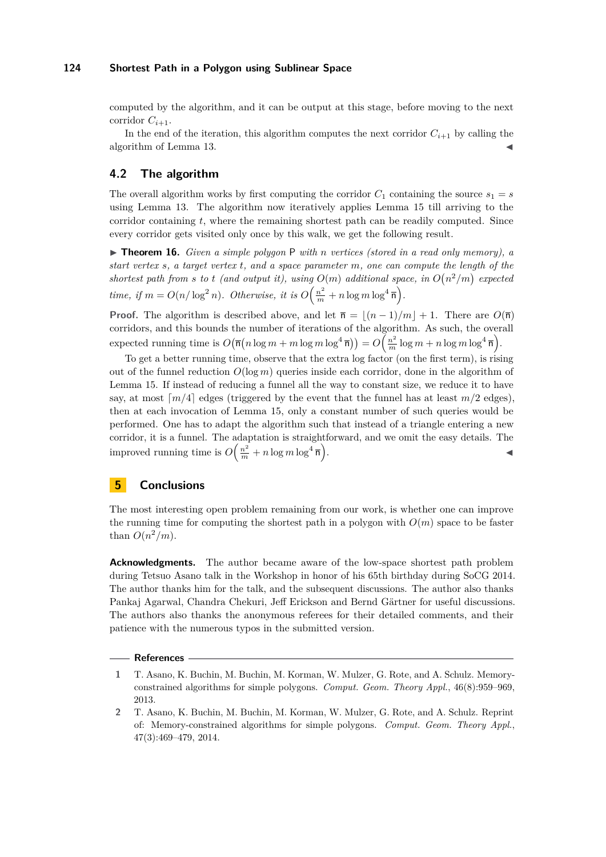computed by the algorithm, and it can be output at this stage, before moving to the next corridor  $C_{i+1}$ .

In the end of the iteration, this algorithm computes the next corridor  $C_{i+1}$  by calling the algorithm of [Lemma 13.](#page-10-1)

# **4.2 The algorithm**

The overall algorithm works by first computing the corridor  $C_1$  containing the source  $s_1 = s$ using [Lemma 13.](#page-10-1) The algorithm now iteratively applies [Lemma 15](#page-12-1) till arriving to the corridor containing *t*, where the remaining shortest path can be readily computed. Since every corridor gets visited only once by this walk, we get the following result.

▶ **Theorem 16.** *Given a simple polygon* **P** *with n vertices (stored in a read only memory), a start vertex s, a target vertex t, and a space parameter m, one can compute the length of the shortest path from s to t (and output it), using*  $O(m)$  *additional space, in*  $O(n^2/m)$  expected *time, if*  $m = O(n/\log^2 n)$ *. Otherwise, it is*  $O\left(\frac{n^2}{m} + n \log m \log^4 n\right)$ *.* 

**Proof.** The algorithm is described above, and let  $\bar{n} = \lfloor (n-1)/m \rfloor + 1$ . There are  $O(\bar{n})$ corridors, and this bounds the number of iterations of the algorithm. As such, the overall  $\exp\{\operatorname{erdeg} u\}$  is  $O(\overline{n}(n \log m + m \log m \log^4 \overline{n})) = O\left(\frac{n^2}{m} \log m + n \log m \log^4 \overline{n}\right).$ 

To get a better running time, observe that the extra log factor (on the first term), is rising out of the funnel reduction  $O(\log m)$  queries inside each corridor, done in the algorithm of [Lemma 15.](#page-12-1) If instead of reducing a funnel all the way to constant size, we reduce it to have say, at most  $\lceil m/4 \rceil$  edges (triggered by the event that the funnel has at least  $m/2$  edges), then at each invocation of [Lemma 15,](#page-12-1) only a constant number of such queries would be performed. One has to adapt the algorithm such that instead of a triangle entering a new corridor, it is a funnel. The adaptation is straightforward, and we omit the easy details. The improved running time is  $O\left(\frac{n^2}{m} + n \log m \log^4 \overline{n}\right)$ *.* J

# **5 Conclusions**

The most interesting open problem remaining from our work, is whether one can improve the running time for computing the shortest path in a polygon with  $O(m)$  space to be faster than  $O(n^2/m)$ .

**Acknowledgments.** The author became aware of the low-space shortest path problem during Tetsuo Asano talk in the Workshop in honor of his 65th birthday during SoCG 2014. The author thanks him for the talk, and the subsequent discussions. The author also thanks Pankaj Agarwal, Chandra Chekuri, Jeff Erickson and Bernd Gärtner for useful discussions. The authors also thanks the anonymous referees for their detailed comments, and their patience with the numerous typos in the submitted version.

#### **References**

- <span id="page-13-0"></span>**1** T. Asano, K. Buchin, M. Buchin, M. Korman, W. Mulzer, G. Rote, and A. Schulz. Memoryconstrained algorithms for simple polygons. *Comput. Geom. Theory Appl.*, 46(8):959–969, 2013.
- <span id="page-13-1"></span>**2** T. Asano, K. Buchin, M. Buchin, M. Korman, W. Mulzer, G. Rote, and A. Schulz. Reprint of: Memory-constrained algorithms for simple polygons. *Comput. Geom. Theory Appl.*, 47(3):469–479, 2014.